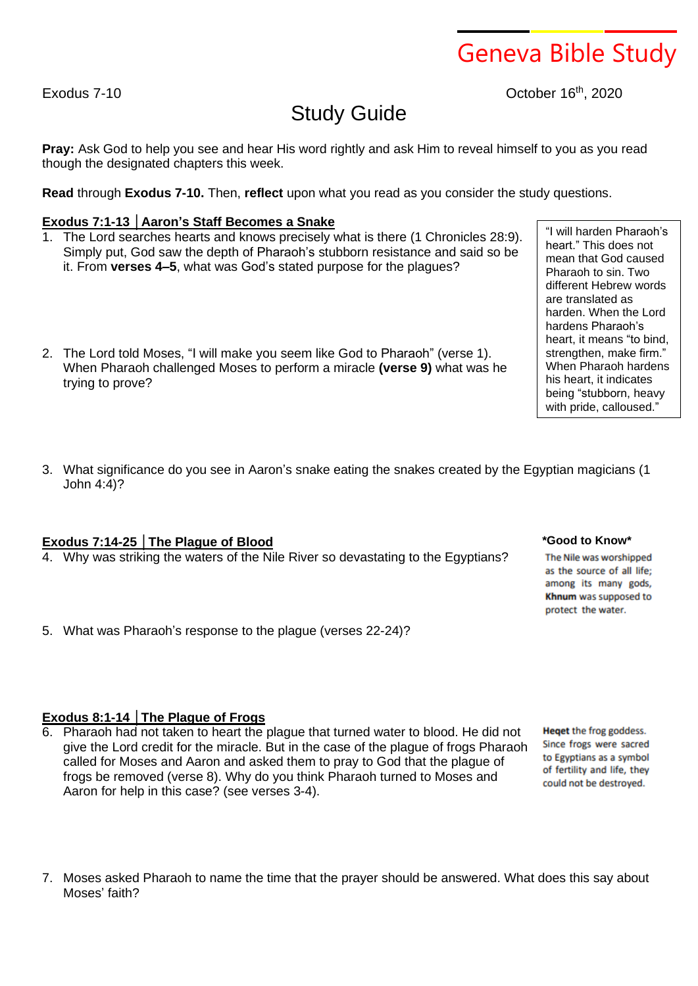#### 7. Moses asked Pharaoh to name the time that the prayer should be answered. What does this say about Moses' faith?

# Study Guide

**Pray:** Ask God to help you see and hear His word rightly and ask Him to reveal himself to you as you read though the designated chapters this week.

**Read** through **Exodus 7-10.** Then, **reflect** upon what you read as you consider the study questions.

# **Exodus 7:1-13 │Aaron's Staff Becomes a Snake**

- 1. The Lord searches hearts and knows precisely what is there (1 Chronicles 28:9). Simply put, God saw the depth of Pharaoh's stubborn resistance and said so be it. From **verses 4–5**, what was God's stated purpose for the plagues?
- 2. The Lord told Moses, "I will make you seem like God to Pharaoh" (verse 1). When Pharaoh challenged Moses to perform a miracle **(verse 9)** what was he trying to prove?
- 3. What significance do you see in Aaron's snake eating the snakes created by the Egyptian magicians (1 John 4:4)?

## **Exodus 7:14-25 │The Plague of Blood**

- 4. Why was striking the waters of the Nile River so devastating to the Egyptians?
- 5. What was Pharaoh's response to the plague (verses 22-24)?

# **Exodus 8:1-14 │The Plague of Frogs**

6. Pharaoh had not taken to heart the plague that turned water to blood. He did not give the Lord credit for the miracle. But in the case of the plague of frogs Pharaoh called for Moses and Aaron and asked them to pray to God that the plague of frogs be removed (verse 8). Why do you think Pharaoh turned to Moses and Aaron for help in this case? (see verses 3-4).

as the source of all life; among its many gods, Khnum was supposed to protect the water.

**\*Good to Know\***

The Nile was worshipped

Heget the frog goddess. Since frogs were sacred to Egyptians as a symbol of fertility and life, they could not be destroyed.

# Geneva Bible Study

"I will harden Pharaoh's heart." This does not mean that God caused Pharaoh to sin. Two different Hebrew words are translated as harden. When the Lord hardens Pharaoh's heart, it means "to bind, strengthen, make firm." When Pharaoh hardens his heart, it indicates being "stubborn, heavy with pride, calloused."

Exodus 7-10 **Decision Control Control Control Control Control Control Control Control Control Control Control Control Control Control Control Control Control Control Control Control Control Control Control Control Control**